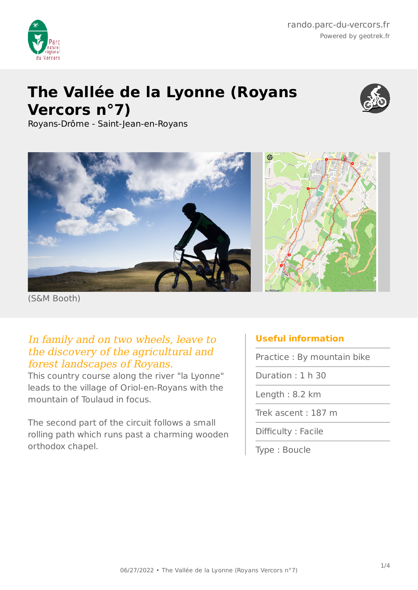

# **The Vallée de la Lyonne (Royans Vercors n°7)**



Royans-Drôme - Saint-Jean-en-Royans



(S&M Booth)

### In family and on two wheels, leave to the discovery of the agricultural and forest landscapes of Royans.

This country course along the river "la Lyonne" leads to the village of Oriol-en-Royans with the mountain of Toulaud in focus.

The second part of the circuit follows a small rolling path which runs past a charming wooden orthodox chapel.

## **Useful information**

Practice : By mountain bike

Duration : 1 h 30

Length : 8.2 km

Trek ascent : 187 m

Difficulty : Facile

Type : Boucle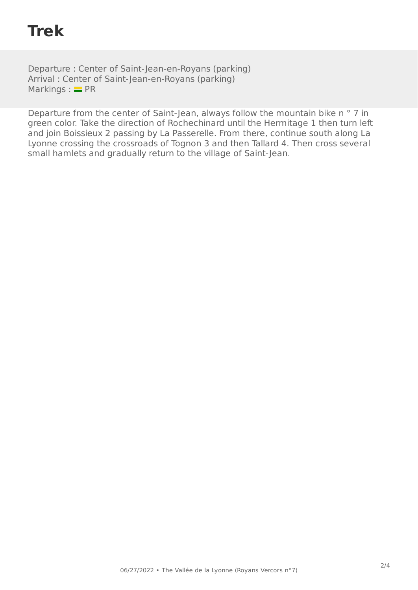## **Trek**

Departure : Center of Saint-Jean-en-Royans (parking) Arrival : Center of Saint-Jean-en-Royans (parking) Markings :  $=$  PR

Departure from the center of Saint-Jean, always follow the mountain bike n ° 7 in green color. Take the direction of Rochechinard until the Hermitage 1 then turn left and join Boissieux 2 passing by La Passerelle. From there, continue south along La Lyonne crossing the crossroads of Tognon 3 and then Tallard 4. Then cross several small hamlets and gradually return to the village of Saint-Jean.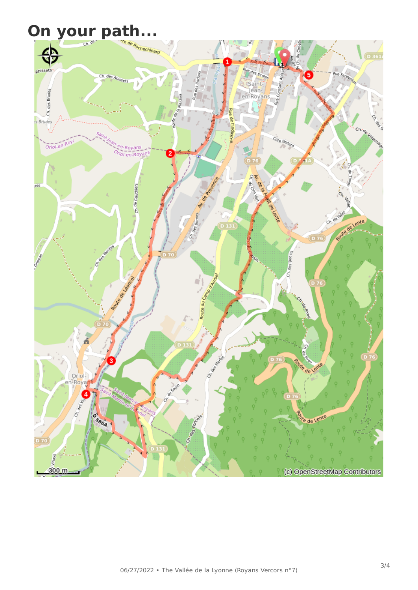